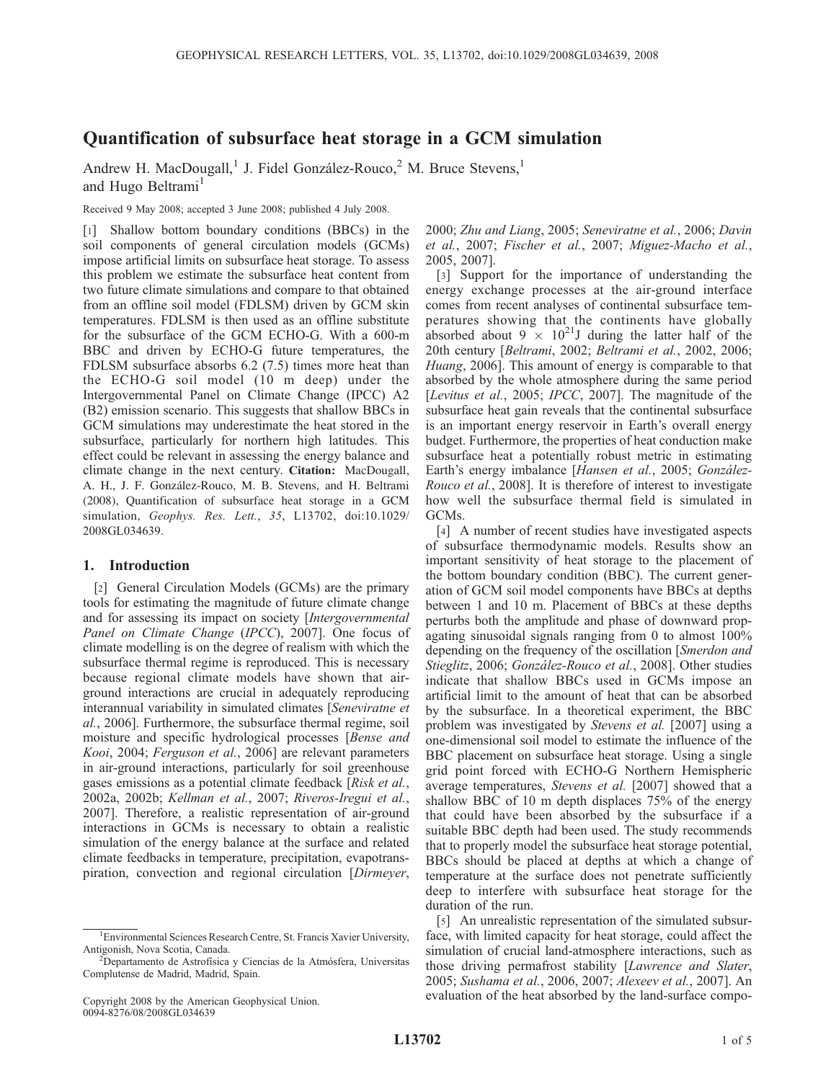# Quantification of subsurface heat storage in a GCM simulation

Andrew H. MacDougall,<sup>1</sup> J. Fidel González-Rouco,<sup>2</sup> M. Bruce Stevens,<sup>1</sup> and Hugo Beltrami<sup>1</sup>

Received 9 May 2008; accepted 3 June 2008; published 4 July 2008.

[1] Shallow bottom boundary conditions (BBCs) in the soil components of general circulation models (GCMs) impose artificial limits on subsurface heat storage. To assess this problem we estimate the subsurface heat content from two future climate simulations and compare to that obtained from an offline soil model (FDLSM) driven by GCM skin temperatures. FDLSM is then used as an offline substitute for the subsurface of the GCM ECHO-G. With a 600-m BBC and driven by ECHO-G future temperatures, the FDLSM subsurface absorbs 6.2 (7.5) times more heat than the ECHO-G soil model (10 m deep) under the Intergovernmental Panel on Climate Change (IPCC) A2 (B2) emission scenario. This suggests that shallow BBCs in GCM simulations may underestimate the heat stored in the subsurface, particularly for northern high latitudes. This effect could be relevant in assessing the energy balance and climate change in the next century. Citation: MacDougall, A. H., J. F. González-Rouco, M. B. Stevens, and H. Beltrami (2008), Quantification of subsurface heat storage in a GCM simulation, Geophys. Res. Lett., 35, L13702, doi:10.1029/ 2008GL034639.

# 1. Introduction

[2] General Circulation Models (GCMs) are the primary tools for estimating the magnitude of future climate change and for assessing its impact on society [Intergovernmental Panel on Climate Change (IPCC), 2007]. One focus of climate modelling is on the degree of realism with which the subsurface thermal regime is reproduced. This is necessary because regional climate models have shown that airground interactions are crucial in adequately reproducing interannual variability in simulated climates [Seneviratne et al., 2006]. Furthermore, the subsurface thermal regime, soil moisture and specific hydrological processes [Bense and Kooi, 2004; Ferguson et al., 2006] are relevant parameters in air-ground interactions, particularly for soil greenhouse gases emissions as a potential climate feedback [Risk et al., 2002a, 2002b; Kellman et al., 2007; Riveros-Iregui et al., 2007]. Therefore, a realistic representation of air-ground interactions in GCMs is necessary to obtain a realistic simulation of the energy balance at the surface and related climate feedbacks in temperature, precipitation, evapotranspiration, convection and regional circulation [Dirmeyer,

2000; Zhu and Liang, 2005; Seneviratne et al., 2006; Davin et al., 2007; Fischer et al., 2007; Miguez-Macho et al., 2005, 2007].

[3] Support for the importance of understanding the energy exchange processes at the air-ground interface comes from recent analyses of continental subsurface temperatures showing that the continents have globally absorbed about  $9 \times 10^{21}$ J during the latter half of the 20th century [Beltrami, 2002; Beltrami et al., 2002, 2006; Huang, 2006]. This amount of energy is comparable to that absorbed by the whole atmosphere during the same period [Levitus et al., 2005; IPCC, 2007]. The magnitude of the subsurface heat gain reveals that the continental subsurface is an important energy reservoir in Earth's overall energy budget. Furthermore, the properties of heat conduction make subsurface heat a potentially robust metric in estimating Earth's energy imbalance [Hansen et al., 2005; González-Rouco et al., 2008]. It is therefore of interest to investigate how well the subsurface thermal field is simulated in GCMs.

[4] A number of recent studies have investigated aspects of subsurface thermodynamic models. Results show an important sensitivity of heat storage to the placement of the bottom boundary condition (BBC). The current generation of GCM soil model components have BBCs at depths between 1 and 10 m. Placement of BBCs at these depths perturbs both the amplitude and phase of downward propagating sinusoidal signals ranging from 0 to almost 100% depending on the frequency of the oscillation [Smerdon and Stieglitz, 2006; González-Rouco et al., 2008]. Other studies indicate that shallow BBCs used in GCMs impose an artificial limit to the amount of heat that can be absorbed by the subsurface. In a theoretical experiment, the BBC problem was investigated by Stevens et al. [2007] using a one-dimensional soil model to estimate the influence of the BBC placement on subsurface heat storage. Using a single grid point forced with ECHO-G Northern Hemispheric average temperatures, Stevens et al. [2007] showed that a shallow BBC of 10 m depth displaces 75% of the energy that could have been absorbed by the subsurface if a suitable BBC depth had been used. The study recommends that to properly model the subsurface heat storage potential, BBCs should be placed at depths at which a change of temperature at the surface does not penetrate sufficiently deep to interfere with subsurface heat storage for the duration of the run.

[5] An unrealistic representation of the simulated subsurface, with limited capacity for heat storage, could affect the simulation of crucial land-atmosphere interactions, such as those driving permafrost stability [Lawrence and Slater, 2005; Sushama et al., 2006, 2007; Alexeev et al., 2007]. An evaluation of the heat absorbed by the land-surface compo-

<sup>&</sup>lt;sup>1</sup> Environmental Sciences Research Centre, St. Francis Xavier University, Antigonish, Nova Scotia, Canada. <sup>2</sup>

<sup>&</sup>lt;sup>2</sup>Departamento de Astrofísica y Ciencias de la Atmósfera, Universitas Complutense de Madrid, Madrid, Spain.

Copyright 2008 by the American Geophysical Union. 0094-8276/08/2008GL034639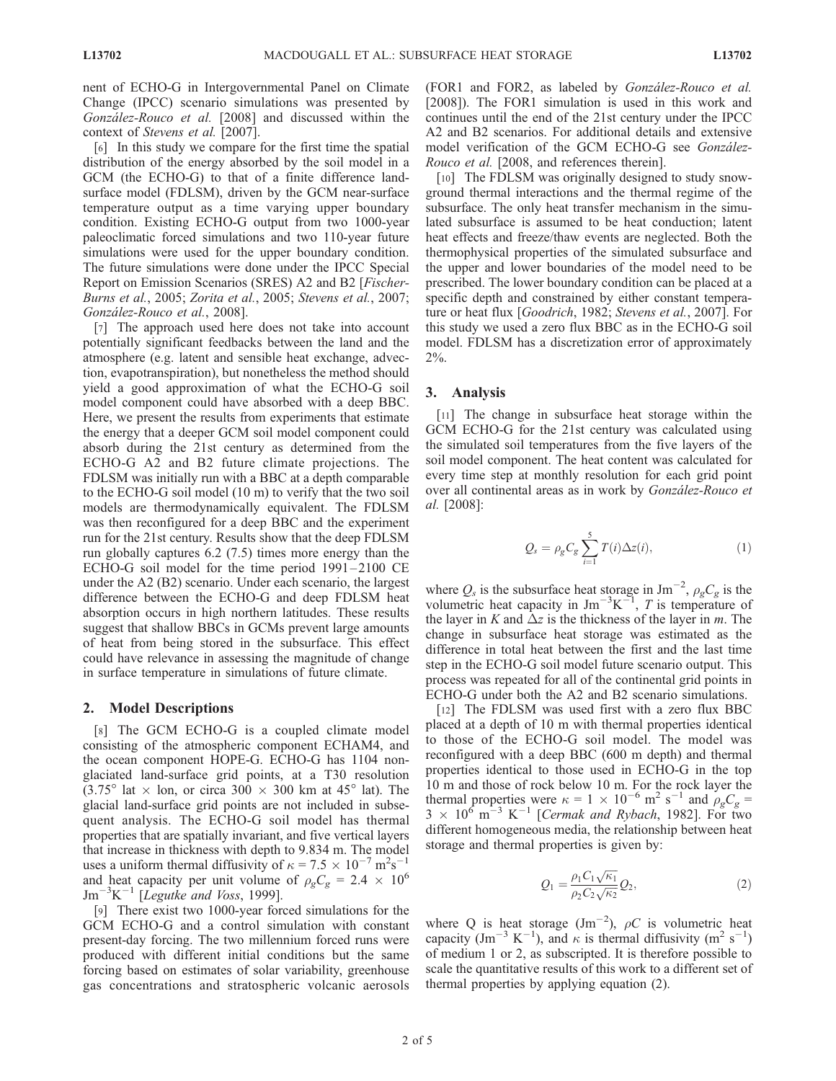nent of ECHO-G in Intergovernmental Panel on Climate Change (IPCC) scenario simulations was presented by González-Rouco et al. [2008] and discussed within the context of Stevens et al. [2007].

[6] In this study we compare for the first time the spatial distribution of the energy absorbed by the soil model in a GCM (the ECHO-G) to that of a finite difference landsurface model (FDLSM), driven by the GCM near-surface temperature output as a time varying upper boundary condition. Existing ECHO-G output from two 1000-year paleoclimatic forced simulations and two 110-year future simulations were used for the upper boundary condition. The future simulations were done under the IPCC Special Report on Emission Scenarios (SRES) A2 and B2 [Fischer-Burns et al., 2005; Zorita et al., 2005; Stevens et al., 2007; González-Rouco et al., 2008].

[7] The approach used here does not take into account potentially significant feedbacks between the land and the atmosphere (e.g. latent and sensible heat exchange, advection, evapotranspiration), but nonetheless the method should yield a good approximation of what the ECHO-G soil model component could have absorbed with a deep BBC. Here, we present the results from experiments that estimate the energy that a deeper GCM soil model component could absorb during the 21st century as determined from the ECHO-G A2 and B2 future climate projections. The FDLSM was initially run with a BBC at a depth comparable to the ECHO-G soil model (10 m) to verify that the two soil models are thermodynamically equivalent. The FDLSM was then reconfigured for a deep BBC and the experiment run for the 21st century. Results show that the deep FDLSM run globally captures 6.2 (7.5) times more energy than the ECHO-G soil model for the time period 1991-2100 CE under the A2 (B2) scenario. Under each scenario, the largest difference between the ECHO-G and deep FDLSM heat absorption occurs in high northern latitudes. These results suggest that shallow BBCs in GCMs prevent large amounts of heat from being stored in the subsurface. This effect could have relevance in assessing the magnitude of change in surface temperature in simulations of future climate.

## 2. Model Descriptions

[8] The GCM ECHO-G is a coupled climate model consisting of the atmospheric component ECHAM4, and the ocean component HOPE-G. ECHO-G has 1104 nonglaciated land-surface grid points, at a T30 resolution  $(3.75^{\circ}$  lat  $\times$  lon, or circa 300  $\times$  300 km at 45<sup>°</sup> lat). The glacial land-surface grid points are not included in subsequent analysis. The ECHO-G soil model has thermal properties that are spatially invariant, and five vertical layers that increase in thickness with depth to 9.834 m. The model uses a uniform thermal diffusivity of  $\kappa = 7.5 \times 10^{-7} \text{ m}^2 \text{s}^{-1}$ and heat capacity per unit volume of  $\rho_{g}C_{g} = 2.4 \times 10^{6}$  $\rm{Jm}^{-3} K^{-1}$  [Legutke and Voss, 1999].

[9] There exist two 1000-year forced simulations for the GCM ECHO-G and a control simulation with constant present-day forcing. The two millennium forced runs were produced with different initial conditions but the same forcing based on estimates of solar variability, greenhouse gas concentrations and stratospheric volcanic aerosols (FOR1 and FOR2, as labeled by González-Rouco et al. [2008]). The FOR1 simulation is used in this work and continues until the end of the 21st century under the IPCC A2 and B2 scenarios. For additional details and extensive model verification of the GCM ECHO-G see González-Rouco et al. [2008, and references therein].

[10] The FDLSM was originally designed to study snowground thermal interactions and the thermal regime of the subsurface. The only heat transfer mechanism in the simulated subsurface is assumed to be heat conduction; latent heat effects and freeze/thaw events are neglected. Both the thermophysical properties of the simulated subsurface and the upper and lower boundaries of the model need to be prescribed. The lower boundary condition can be placed at a specific depth and constrained by either constant temperature or heat flux [Goodrich, 1982; Stevens et al., 2007]. For this study we used a zero flux BBC as in the ECHO-G soil model. FDLSM has a discretization error of approximately 2%.

#### 3. Analysis

[11] The change in subsurface heat storage within the GCM ECHO-G for the 21st century was calculated using the simulated soil temperatures from the five layers of the soil model component. The heat content was calculated for every time step at monthly resolution for each grid point over all continental areas as in work by *González-Rouco et* al. [2008]:

$$
Q_s = \rho_g C_g \sum_{i=1}^5 T(i) \Delta z(i), \qquad (1)
$$

where  $Q_s$  is the subsurface heat storage in Jm<sup>-2</sup>,  $\rho_g C_g$  is the volumetric heat capacity in  $\text{Jm}^{-3}\text{K}^{-1}$ , T is temperature of the layer in K and  $\Delta z$  is the thickness of the layer in m. The change in subsurface heat storage was estimated as the difference in total heat between the first and the last time step in the ECHO-G soil model future scenario output. This process was repeated for all of the continental grid points in ECHO-G under both the A2 and B2 scenario simulations.

[12] The FDLSM was used first with a zero flux BBC placed at a depth of 10 m with thermal properties identical to those of the ECHO-G soil model. The model was reconfigured with a deep BBC (600 m depth) and thermal properties identical to those used in ECHO-G in the top 10 m and those of rock below 10 m. For the rock layer the thermal properties were  $\kappa = 1 \times 10^{-6}$  m<sup>2</sup> s<sup>-1</sup> and  $\rho_g C_g =$  $3 \times 10^6$  m<sup>-3</sup> K<sup>-1</sup> [Cermak and Rybach, 1982]. For two different homogeneous media, the relationship between heat storage and thermal properties is given by:

$$
Q_1 = \frac{\rho_1 C_1 \sqrt{\kappa_1}}{\rho_2 C_2 \sqrt{\kappa_2}} Q_2, \tag{2}
$$

where Q is heat storage  $(Jm^{-2})$ ,  $\rho C$  is volumetric heat capacity (Jm<sup>-3</sup> K<sup>-1</sup>), and  $\kappa$  is thermal diffusivity (m<sup>2</sup> s<sup>-1</sup>) of medium 1 or 2, as subscripted. It is therefore possible to scale the quantitative results of this work to a different set of thermal properties by applying equation (2).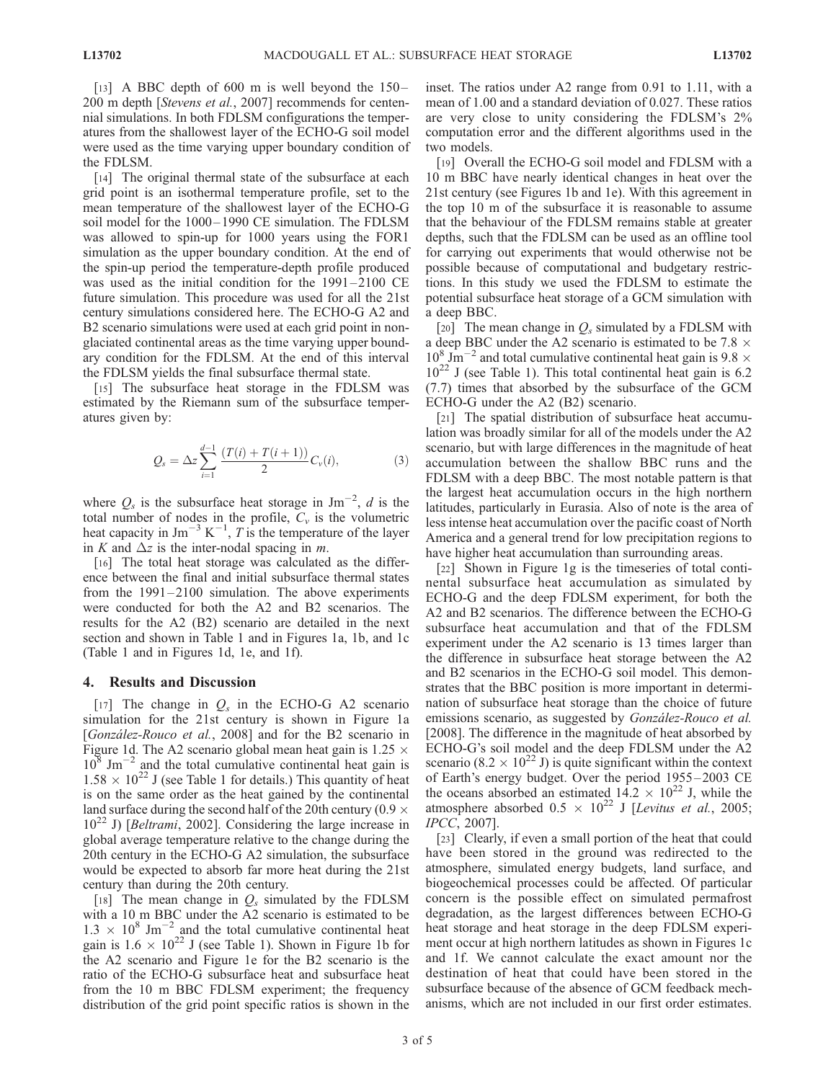[13] A BBC depth of 600 m is well beyond the  $150-$ 200 m depth [Stevens et al., 2007] recommends for centennial simulations. In both FDLSM configurations the temperatures from the shallowest layer of the ECHO-G soil model were used as the time varying upper boundary condition of the FDLSM.

[14] The original thermal state of the subsurface at each grid point is an isothermal temperature profile, set to the mean temperature of the shallowest layer of the ECHO-G soil model for the 1000–1990 CE simulation. The FDLSM was allowed to spin-up for 1000 years using the FOR1 simulation as the upper boundary condition. At the end of the spin-up period the temperature-depth profile produced was used as the initial condition for the 1991–2100 CE future simulation. This procedure was used for all the 21st century simulations considered here. The ECHO-G A2 and B2 scenario simulations were used at each grid point in nonglaciated continental areas as the time varying upper boundary condition for the FDLSM. At the end of this interval the FDLSM yields the final subsurface thermal state.

[15] The subsurface heat storage in the FDLSM was estimated by the Riemann sum of the subsurface temperatures given by:

$$
Q_s = \Delta z \sum_{i=1}^{d-1} \frac{(T(i) + T(i+1))}{2} C_v(i), \tag{3}
$$

where  $Q_s$  is the subsurface heat storage in Jm<sup>-2</sup>, d is the total number of nodes in the profile,  $C_v$  is the volumetric heat capacity in Jm<sup>-3</sup> K<sup>-1</sup>, T is the temperature of the layer in K and  $\Delta z$  is the inter-nodal spacing in m.

[16] The total heat storage was calculated as the difference between the final and initial subsurface thermal states from the 1991 –2100 simulation. The above experiments were conducted for both the A2 and B2 scenarios. The results for the A2 (B2) scenario are detailed in the next section and shown in Table 1 and in Figures 1a, 1b, and 1c (Table 1 and in Figures 1d, 1e, and 1f).

## 4. Results and Discussion

[17] The change in  $Q_s$  in the ECHO-G A2 scenario simulation for the 21st century is shown in Figure 1a [González-Rouco et al., 2008] and for the B2 scenario in Figure 1d. The A2 scenario global mean heat gain is  $1.25 \times$  $10^8$  Jm<sup>-2</sup> and the total cumulative continental heat gain is  $1.58 \times 10^{22}$  J (see Table 1 for details.) This quantity of heat is on the same order as the heat gained by the continental land surface during the second half of the 20th century (0.9  $\times$  $10^{22}$  J) [*Beltrami*, 2002]. Considering the large increase in global average temperature relative to the change during the 20th century in the ECHO-G A2 simulation, the subsurface would be expected to absorb far more heat during the 21st century than during the 20th century.

[18] The mean change in  $Q_s$  simulated by the FDLSM with a 10 m BBC under the A2 scenario is estimated to be  $1.3 \times 10^8$  Jm<sup>-2</sup> and the total cumulative continental heat gain is  $1.6 \times 10^{22}$  J (see Table 1). Shown in Figure 1b for the A2 scenario and Figure 1e for the B2 scenario is the ratio of the ECHO-G subsurface heat and subsurface heat from the 10 m BBC FDLSM experiment; the frequency distribution of the grid point specific ratios is shown in the inset. The ratios under A2 range from 0.91 to 1.11, with a mean of 1.00 and a standard deviation of 0.027. These ratios are very close to unity considering the FDLSM's 2% computation error and the different algorithms used in the two models.

[19] Overall the ECHO-G soil model and FDLSM with a 10 m BBC have nearly identical changes in heat over the 21st century (see Figures 1b and 1e). With this agreement in the top 10 m of the subsurface it is reasonable to assume that the behaviour of the FDLSM remains stable at greater depths, such that the FDLSM can be used as an offline tool for carrying out experiments that would otherwise not be possible because of computational and budgetary restrictions. In this study we used the FDLSM to estimate the potential subsurface heat storage of a GCM simulation with a deep BBC.

[20] The mean change in  $Q_s$  simulated by a FDLSM with a deep BBC under the A2 scenario is estimated to be 7.8  $\times$  $10^8$  Jm<sup>-2</sup> and total cumulative continental heat gain is 9.8  $\times$  $10^{22}$  J (see Table 1). This total continental heat gain is 6.2 (7.7) times that absorbed by the subsurface of the GCM ECHO-G under the A2 (B2) scenario.

[21] The spatial distribution of subsurface heat accumulation was broadly similar for all of the models under the A2 scenario, but with large differences in the magnitude of heat accumulation between the shallow BBC runs and the FDLSM with a deep BBC. The most notable pattern is that the largest heat accumulation occurs in the high northern latitudes, particularly in Eurasia. Also of note is the area of less intense heat accumulation over the pacific coast of North America and a general trend for low precipitation regions to have higher heat accumulation than surrounding areas.

[22] Shown in Figure 1g is the timeseries of total continental subsurface heat accumulation as simulated by ECHO-G and the deep FDLSM experiment, for both the A2 and B2 scenarios. The difference between the ECHO-G subsurface heat accumulation and that of the FDLSM experiment under the A2 scenario is 13 times larger than the difference in subsurface heat storage between the A2 and B2 scenarios in the ECHO-G soil model. This demonstrates that the BBC position is more important in determination of subsurface heat storage than the choice of future emissions scenario, as suggested by González-Rouco et al. [2008]. The difference in the magnitude of heat absorbed by ECHO-G's soil model and the deep FDLSM under the A2 scenario (8.2  $\times$  10<sup>22</sup> J) is quite significant within the context of Earth's energy budget. Over the period 1955 – 2003 CE the oceans absorbed an estimated  $14.2 \times 10^{22}$  J, while the atmosphere absorbed  $0.5 \times 10^{22}$  J [Levitus et al., 2005; IPCC, 2007].

[23] Clearly, if even a small portion of the heat that could have been stored in the ground was redirected to the atmosphere, simulated energy budgets, land surface, and biogeochemical processes could be affected. Of particular concern is the possible effect on simulated permafrost degradation, as the largest differences between ECHO-G heat storage and heat storage in the deep FDLSM experiment occur at high northern latitudes as shown in Figures 1c and 1f. We cannot calculate the exact amount nor the destination of heat that could have been stored in the subsurface because of the absence of GCM feedback mechanisms, which are not included in our first order estimates.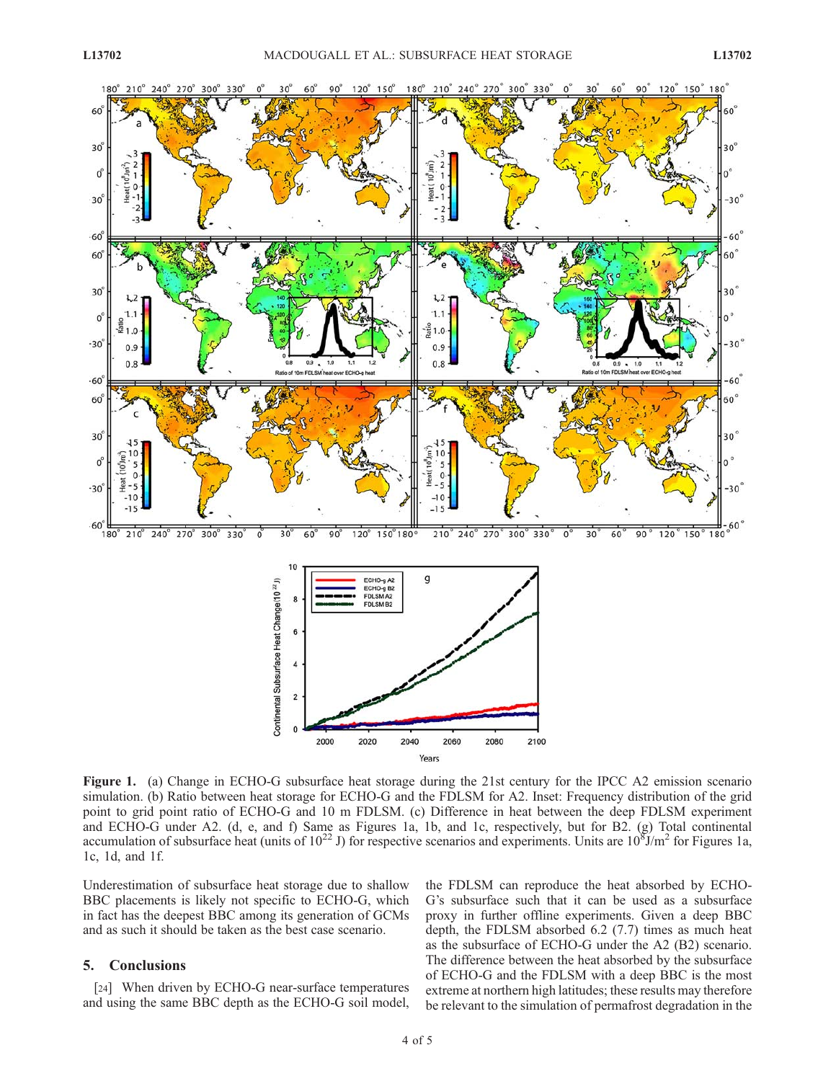

Figure 1. (a) Change in ECHO-G subsurface heat storage during the 21st century for the IPCC A2 emission scenario simulation. (b) Ratio between heat storage for ECHO-G and the FDLSM for A2. Inset: Frequency distribution of the grid point to grid point ratio of ECHO-G and 10 m FDLSM. (c) Difference in heat between the deep FDLSM experiment and ECHO-G under A2. (d, e, and f) Same as Figures 1a, 1b, and 1c, respectively, but for B2. (g) Total continental accumulation of subsurface heat (units of  $10^{22}$  J) for respective scenarios and experiments. Units are  $10^{8}$ J/m<sup>2</sup> for Figures 1a, 1c, 1d, and 1f.

2040

Years

2060

2080

2100

2000

2020

Underestimation of subsurface heat storage due to shallow BBC placements is likely not specific to ECHO-G, which in fact has the deepest BBC among its generation of GCMs and as such it should be taken as the best case scenario.

# 5. Conclusions

[24] When driven by ECHO-G near-surface temperatures and using the same BBC depth as the ECHO-G soil model, the FDLSM can reproduce the heat absorbed by ECHO-G's subsurface such that it can be used as a subsurface proxy in further offline experiments. Given a deep BBC depth, the FDLSM absorbed 6.2 (7.7) times as much heat as the subsurface of ECHO-G under the A2 (B2) scenario. The difference between the heat absorbed by the subsurface of ECHO-G and the FDLSM with a deep BBC is the most extreme at northern high latitudes; these results may therefore be relevant to the simulation of permafrost degradation in the